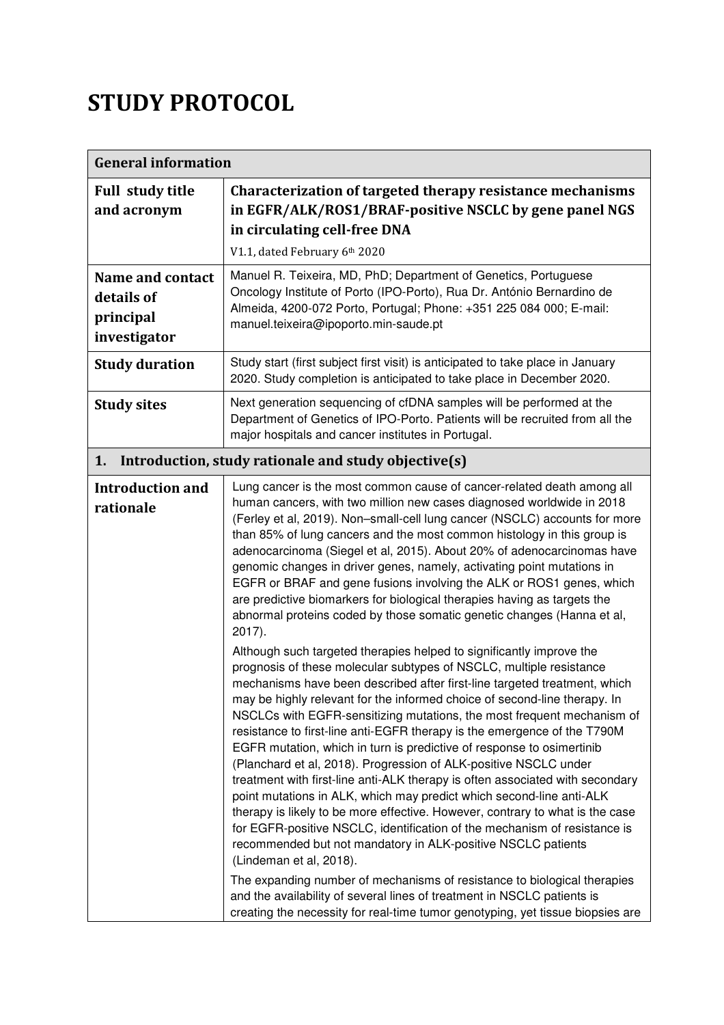## STUDY PROTOCOL

| <b>General information</b>                                         |                                                                                                                                                                                                                                                                                                                                                                                                                                                                                                                                                                                                                                                                                                                                                                                                                                                                                                                                                                                                                                                                                                                                                                                                                                                                                                                                                                                                                                                                                                                                                                                                                                                                                                                                                                                                                                                                                                                                                                                |  |
|--------------------------------------------------------------------|--------------------------------------------------------------------------------------------------------------------------------------------------------------------------------------------------------------------------------------------------------------------------------------------------------------------------------------------------------------------------------------------------------------------------------------------------------------------------------------------------------------------------------------------------------------------------------------------------------------------------------------------------------------------------------------------------------------------------------------------------------------------------------------------------------------------------------------------------------------------------------------------------------------------------------------------------------------------------------------------------------------------------------------------------------------------------------------------------------------------------------------------------------------------------------------------------------------------------------------------------------------------------------------------------------------------------------------------------------------------------------------------------------------------------------------------------------------------------------------------------------------------------------------------------------------------------------------------------------------------------------------------------------------------------------------------------------------------------------------------------------------------------------------------------------------------------------------------------------------------------------------------------------------------------------------------------------------------------------|--|
| <b>Full study title</b><br>and acronym                             | Characterization of targeted therapy resistance mechanisms<br>in EGFR/ALK/ROS1/BRAF-positive NSCLC by gene panel NGS<br>in circulating cell-free DNA                                                                                                                                                                                                                                                                                                                                                                                                                                                                                                                                                                                                                                                                                                                                                                                                                                                                                                                                                                                                                                                                                                                                                                                                                                                                                                                                                                                                                                                                                                                                                                                                                                                                                                                                                                                                                           |  |
|                                                                    | V1.1, dated February 6th 2020                                                                                                                                                                                                                                                                                                                                                                                                                                                                                                                                                                                                                                                                                                                                                                                                                                                                                                                                                                                                                                                                                                                                                                                                                                                                                                                                                                                                                                                                                                                                                                                                                                                                                                                                                                                                                                                                                                                                                  |  |
| <b>Name and contact</b><br>details of<br>principal<br>investigator | Manuel R. Teixeira, MD, PhD; Department of Genetics, Portuguese<br>Oncology Institute of Porto (IPO-Porto), Rua Dr. António Bernardino de<br>Almeida, 4200-072 Porto, Portugal; Phone: +351 225 084 000; E-mail:<br>manuel.teixeira@ipoporto.min-saude.pt                                                                                                                                                                                                                                                                                                                                                                                                                                                                                                                                                                                                                                                                                                                                                                                                                                                                                                                                                                                                                                                                                                                                                                                                                                                                                                                                                                                                                                                                                                                                                                                                                                                                                                                      |  |
| <b>Study duration</b>                                              | Study start (first subject first visit) is anticipated to take place in January<br>2020. Study completion is anticipated to take place in December 2020.                                                                                                                                                                                                                                                                                                                                                                                                                                                                                                                                                                                                                                                                                                                                                                                                                                                                                                                                                                                                                                                                                                                                                                                                                                                                                                                                                                                                                                                                                                                                                                                                                                                                                                                                                                                                                       |  |
| <b>Study sites</b>                                                 | Next generation sequencing of cfDNA samples will be performed at the<br>Department of Genetics of IPO-Porto. Patients will be recruited from all the<br>major hospitals and cancer institutes in Portugal.                                                                                                                                                                                                                                                                                                                                                                                                                                                                                                                                                                                                                                                                                                                                                                                                                                                                                                                                                                                                                                                                                                                                                                                                                                                                                                                                                                                                                                                                                                                                                                                                                                                                                                                                                                     |  |
| 1.                                                                 | Introduction, study rationale and study objective(s)                                                                                                                                                                                                                                                                                                                                                                                                                                                                                                                                                                                                                                                                                                                                                                                                                                                                                                                                                                                                                                                                                                                                                                                                                                                                                                                                                                                                                                                                                                                                                                                                                                                                                                                                                                                                                                                                                                                           |  |
| <b>Introduction and</b><br>rationale                               | Lung cancer is the most common cause of cancer-related death among all<br>human cancers, with two million new cases diagnosed worldwide in 2018<br>(Ferley et al, 2019). Non-small-cell lung cancer (NSCLC) accounts for more<br>than 85% of lung cancers and the most common histology in this group is<br>adenocarcinoma (Siegel et al, 2015). About 20% of adenocarcinomas have<br>genomic changes in driver genes, namely, activating point mutations in<br>EGFR or BRAF and gene fusions involving the ALK or ROS1 genes, which<br>are predictive biomarkers for biological therapies having as targets the<br>abnormal proteins coded by those somatic genetic changes (Hanna et al,<br>$2017$ ).<br>Although such targeted therapies helped to significantly improve the<br>prognosis of these molecular subtypes of NSCLC, multiple resistance<br>mechanisms have been described after first-line targeted treatment, which<br>may be highly relevant for the informed choice of second-line therapy. In<br>NSCLCs with EGFR-sensitizing mutations, the most frequent mechanism of<br>resistance to first-line anti-EGFR therapy is the emergence of the T790M<br>EGFR mutation, which in turn is predictive of response to osimertinib<br>(Planchard et al, 2018). Progression of ALK-positive NSCLC under<br>treatment with first-line anti-ALK therapy is often associated with secondary<br>point mutations in ALK, which may predict which second-line anti-ALK<br>therapy is likely to be more effective. However, contrary to what is the case<br>for EGFR-positive NSCLC, identification of the mechanism of resistance is<br>recommended but not mandatory in ALK-positive NSCLC patients<br>(Lindeman et al, 2018).<br>The expanding number of mechanisms of resistance to biological therapies<br>and the availability of several lines of treatment in NSCLC patients is<br>creating the necessity for real-time tumor genotyping, yet tissue biopsies are |  |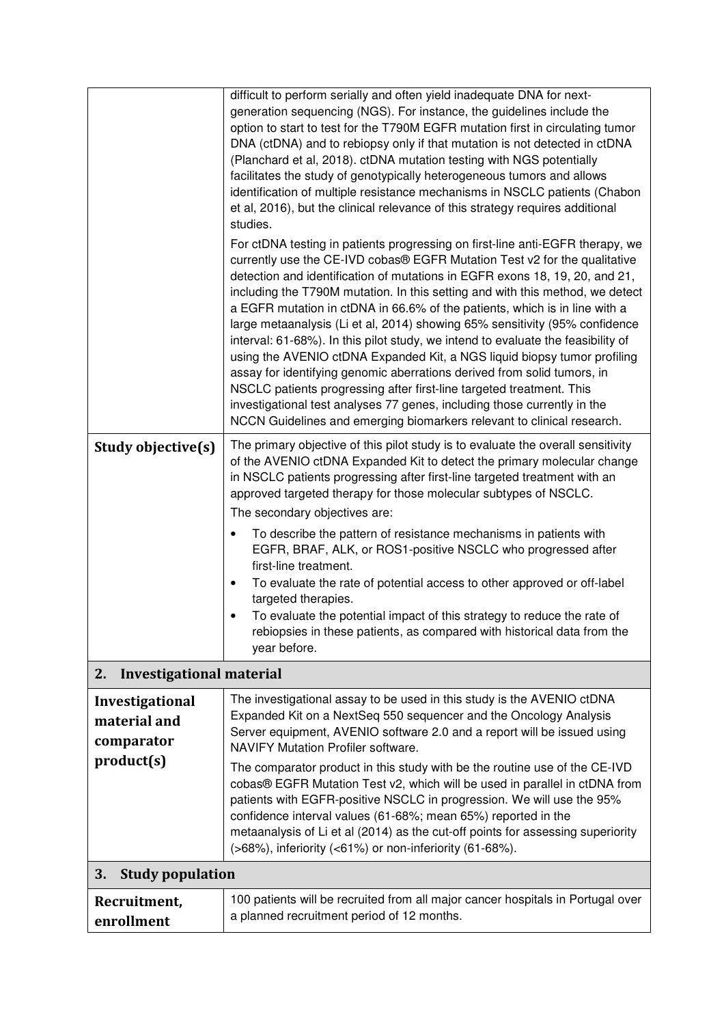|                                                             | difficult to perform serially and often yield inadequate DNA for next-<br>generation sequencing (NGS). For instance, the guidelines include the<br>option to start to test for the T790M EGFR mutation first in circulating tumor<br>DNA (ctDNA) and to rebiopsy only if that mutation is not detected in ctDNA<br>(Planchard et al, 2018). ctDNA mutation testing with NGS potentially<br>facilitates the study of genotypically heterogeneous tumors and allows<br>identification of multiple resistance mechanisms in NSCLC patients (Chabon<br>et al, 2016), but the clinical relevance of this strategy requires additional<br>studies.<br>For ctDNA testing in patients progressing on first-line anti-EGFR therapy, we<br>currently use the CE-IVD cobas® EGFR Mutation Test v2 for the qualitative<br>detection and identification of mutations in EGFR exons 18, 19, 20, and 21,<br>including the T790M mutation. In this setting and with this method, we detect<br>a EGFR mutation in ctDNA in 66.6% of the patients, which is in line with a<br>large metaanalysis (Li et al, 2014) showing 65% sensitivity (95% confidence |  |
|-------------------------------------------------------------|-----------------------------------------------------------------------------------------------------------------------------------------------------------------------------------------------------------------------------------------------------------------------------------------------------------------------------------------------------------------------------------------------------------------------------------------------------------------------------------------------------------------------------------------------------------------------------------------------------------------------------------------------------------------------------------------------------------------------------------------------------------------------------------------------------------------------------------------------------------------------------------------------------------------------------------------------------------------------------------------------------------------------------------------------------------------------------------------------------------------------------------------|--|
|                                                             | interval: 61-68%). In this pilot study, we intend to evaluate the feasibility of<br>using the AVENIO ctDNA Expanded Kit, a NGS liquid biopsy tumor profiling<br>assay for identifying genomic aberrations derived from solid tumors, in<br>NSCLC patients progressing after first-line targeted treatment. This<br>investigational test analyses 77 genes, including those currently in the<br>NCCN Guidelines and emerging biomarkers relevant to clinical research.                                                                                                                                                                                                                                                                                                                                                                                                                                                                                                                                                                                                                                                                   |  |
| Study objective(s)                                          | The primary objective of this pilot study is to evaluate the overall sensitivity<br>of the AVENIO ctDNA Expanded Kit to detect the primary molecular change<br>in NSCLC patients progressing after first-line targeted treatment with an<br>approved targeted therapy for those molecular subtypes of NSCLC.<br>The secondary objectives are:<br>To describe the pattern of resistance mechanisms in patients with<br>٠<br>EGFR, BRAF, ALK, or ROS1-positive NSCLC who progressed after<br>first-line treatment.<br>To evaluate the rate of potential access to other approved or off-label<br>٠<br>targeted therapies.<br>To evaluate the potential impact of this strategy to reduce the rate of<br>rebiopsies in these patients, as compared with historical data from the<br>year before.                                                                                                                                                                                                                                                                                                                                           |  |
| <b>Investigational material</b><br>2.                       |                                                                                                                                                                                                                                                                                                                                                                                                                                                                                                                                                                                                                                                                                                                                                                                                                                                                                                                                                                                                                                                                                                                                         |  |
| Investigational<br>material and<br>comparator<br>product(s) | The investigational assay to be used in this study is the AVENIO ctDNA<br>Expanded Kit on a NextSeq 550 sequencer and the Oncology Analysis<br>Server equipment, AVENIO software 2.0 and a report will be issued using<br><b>NAVIFY Mutation Profiler software.</b><br>The comparator product in this study with be the routine use of the CE-IVD                                                                                                                                                                                                                                                                                                                                                                                                                                                                                                                                                                                                                                                                                                                                                                                       |  |
|                                                             | cobas® EGFR Mutation Test v2, which will be used in parallel in ctDNA from<br>patients with EGFR-positive NSCLC in progression. We will use the 95%<br>confidence interval values (61-68%; mean 65%) reported in the<br>metaanalysis of Li et al (2014) as the cut-off points for assessing superiority<br>(>68%), inferiority (<61%) or non-inferiority (61-68%).                                                                                                                                                                                                                                                                                                                                                                                                                                                                                                                                                                                                                                                                                                                                                                      |  |
| <b>Study population</b><br>3.                               |                                                                                                                                                                                                                                                                                                                                                                                                                                                                                                                                                                                                                                                                                                                                                                                                                                                                                                                                                                                                                                                                                                                                         |  |
| Recruitment,<br>enrollment                                  | 100 patients will be recruited from all major cancer hospitals in Portugal over<br>a planned recruitment period of 12 months.                                                                                                                                                                                                                                                                                                                                                                                                                                                                                                                                                                                                                                                                                                                                                                                                                                                                                                                                                                                                           |  |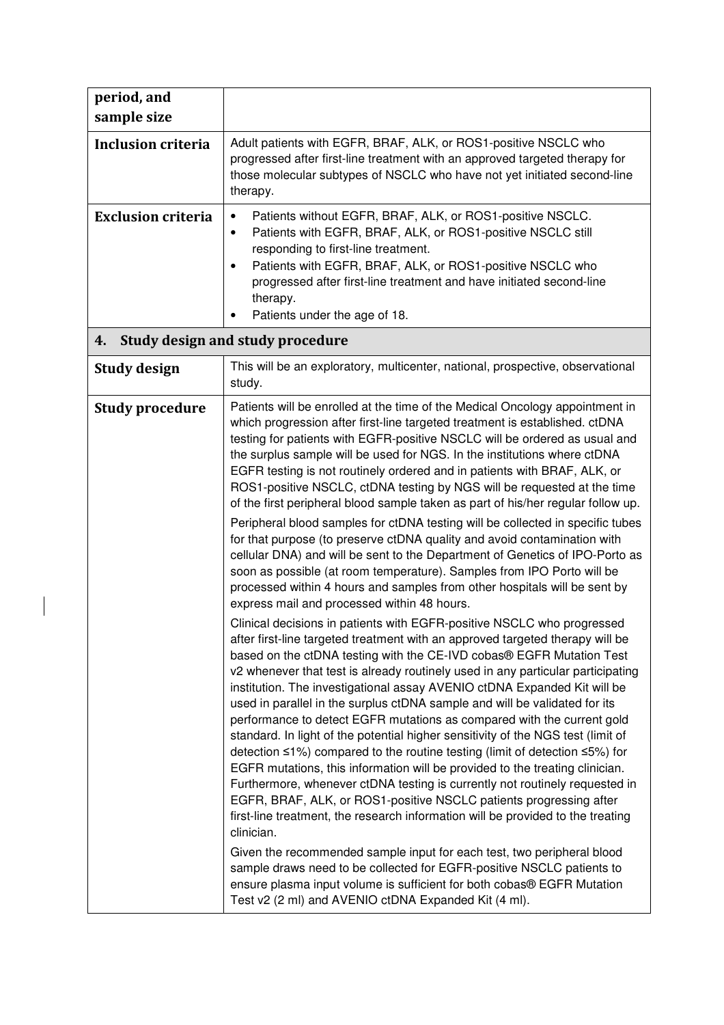| period, and<br>sample size |                                                                                                                                                                                                                                                                                                                                                                                                                                                                                                                                                                                                                                                                                                                                                                                                                                                                                                                                                                                                                                                                                                                                                                                                                                                                                                                                                                                                                                                                                                                                                                                                                                                                                                                                                                                                                                                                                                                                                                                                                                                                                                                                                                                                                                                                                                                                                                                          |  |
|----------------------------|------------------------------------------------------------------------------------------------------------------------------------------------------------------------------------------------------------------------------------------------------------------------------------------------------------------------------------------------------------------------------------------------------------------------------------------------------------------------------------------------------------------------------------------------------------------------------------------------------------------------------------------------------------------------------------------------------------------------------------------------------------------------------------------------------------------------------------------------------------------------------------------------------------------------------------------------------------------------------------------------------------------------------------------------------------------------------------------------------------------------------------------------------------------------------------------------------------------------------------------------------------------------------------------------------------------------------------------------------------------------------------------------------------------------------------------------------------------------------------------------------------------------------------------------------------------------------------------------------------------------------------------------------------------------------------------------------------------------------------------------------------------------------------------------------------------------------------------------------------------------------------------------------------------------------------------------------------------------------------------------------------------------------------------------------------------------------------------------------------------------------------------------------------------------------------------------------------------------------------------------------------------------------------------------------------------------------------------------------------------------------------------|--|
| <b>Inclusion criteria</b>  | Adult patients with EGFR, BRAF, ALK, or ROS1-positive NSCLC who<br>progressed after first-line treatment with an approved targeted therapy for<br>those molecular subtypes of NSCLC who have not yet initiated second-line<br>therapy.                                                                                                                                                                                                                                                                                                                                                                                                                                                                                                                                                                                                                                                                                                                                                                                                                                                                                                                                                                                                                                                                                                                                                                                                                                                                                                                                                                                                                                                                                                                                                                                                                                                                                                                                                                                                                                                                                                                                                                                                                                                                                                                                                   |  |
| <b>Exclusion criteria</b>  | Patients without EGFR, BRAF, ALK, or ROS1-positive NSCLC.<br>$\bullet$<br>Patients with EGFR, BRAF, ALK, or ROS1-positive NSCLC still<br>$\bullet$<br>responding to first-line treatment.<br>Patients with EGFR, BRAF, ALK, or ROS1-positive NSCLC who<br>$\bullet$<br>progressed after first-line treatment and have initiated second-line<br>therapy.<br>Patients under the age of 18.                                                                                                                                                                                                                                                                                                                                                                                                                                                                                                                                                                                                                                                                                                                                                                                                                                                                                                                                                                                                                                                                                                                                                                                                                                                                                                                                                                                                                                                                                                                                                                                                                                                                                                                                                                                                                                                                                                                                                                                                 |  |
| 4.                         | Study design and study procedure                                                                                                                                                                                                                                                                                                                                                                                                                                                                                                                                                                                                                                                                                                                                                                                                                                                                                                                                                                                                                                                                                                                                                                                                                                                                                                                                                                                                                                                                                                                                                                                                                                                                                                                                                                                                                                                                                                                                                                                                                                                                                                                                                                                                                                                                                                                                                         |  |
| <b>Study design</b>        | This will be an exploratory, multicenter, national, prospective, observational<br>study.                                                                                                                                                                                                                                                                                                                                                                                                                                                                                                                                                                                                                                                                                                                                                                                                                                                                                                                                                                                                                                                                                                                                                                                                                                                                                                                                                                                                                                                                                                                                                                                                                                                                                                                                                                                                                                                                                                                                                                                                                                                                                                                                                                                                                                                                                                 |  |
| <b>Study procedure</b>     | Patients will be enrolled at the time of the Medical Oncology appointment in<br>which progression after first-line targeted treatment is established. ctDNA<br>testing for patients with EGFR-positive NSCLC will be ordered as usual and<br>the surplus sample will be used for NGS. In the institutions where ctDNA<br>EGFR testing is not routinely ordered and in patients with BRAF, ALK, or<br>ROS1-positive NSCLC, ctDNA testing by NGS will be requested at the time<br>of the first peripheral blood sample taken as part of his/her regular follow up.<br>Peripheral blood samples for ctDNA testing will be collected in specific tubes<br>for that purpose (to preserve ctDNA quality and avoid contamination with<br>cellular DNA) and will be sent to the Department of Genetics of IPO-Porto as<br>soon as possible (at room temperature). Samples from IPO Porto will be<br>processed within 4 hours and samples from other hospitals will be sent by<br>express mail and processed within 48 hours.<br>Clinical decisions in patients with EGFR-positive NSCLC who progressed<br>after first-line targeted treatment with an approved targeted therapy will be<br>based on the ctDNA testing with the CE-IVD cobas <sup>®</sup> EGFR Mutation Test<br>v2 whenever that test is already routinely used in any particular participating<br>institution. The investigational assay AVENIO ctDNA Expanded Kit will be<br>used in parallel in the surplus ctDNA sample and will be validated for its<br>performance to detect EGFR mutations as compared with the current gold<br>standard. In light of the potential higher sensitivity of the NGS test (limit of<br>detection ≤1%) compared to the routine testing (limit of detection ≤5%) for<br>EGFR mutations, this information will be provided to the treating clinician.<br>Furthermore, whenever ctDNA testing is currently not routinely requested in<br>EGFR, BRAF, ALK, or ROS1-positive NSCLC patients progressing after<br>first-line treatment, the research information will be provided to the treating<br>clinician.<br>Given the recommended sample input for each test, two peripheral blood<br>sample draws need to be collected for EGFR-positive NSCLC patients to<br>ensure plasma input volume is sufficient for both cobas® EGFR Mutation<br>Test v2 (2 ml) and AVENIO ctDNA Expanded Kit (4 ml). |  |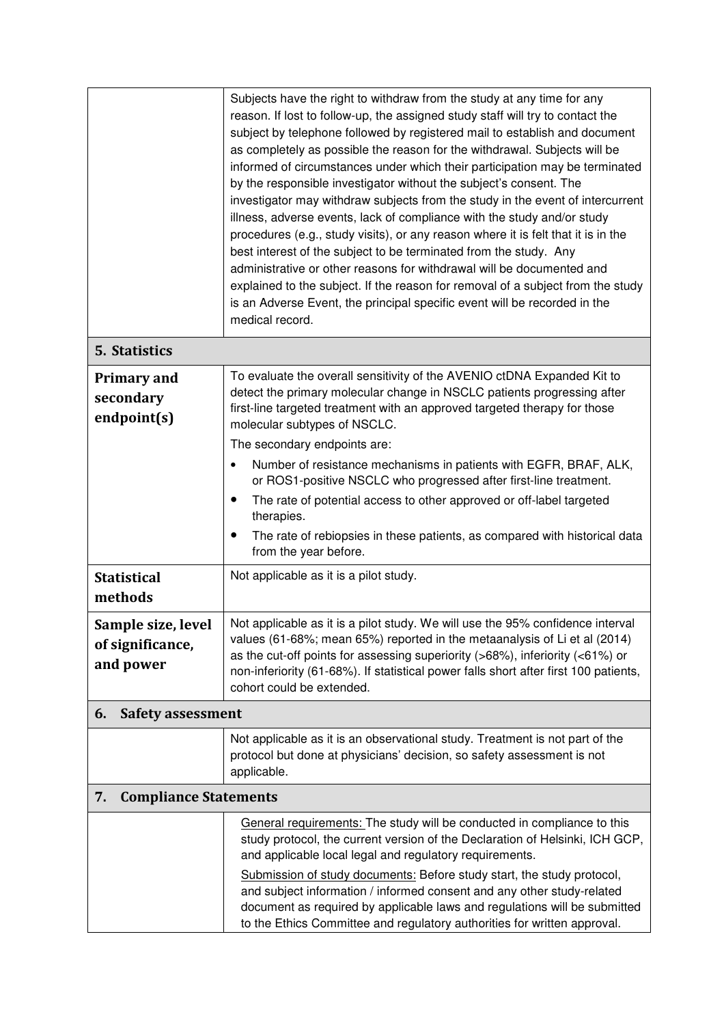|                                                     | Subjects have the right to withdraw from the study at any time for any<br>reason. If lost to follow-up, the assigned study staff will try to contact the<br>subject by telephone followed by registered mail to establish and document<br>as completely as possible the reason for the withdrawal. Subjects will be<br>informed of circumstances under which their participation may be terminated<br>by the responsible investigator without the subject's consent. The<br>investigator may withdraw subjects from the study in the event of intercurrent<br>illness, adverse events, lack of compliance with the study and/or study<br>procedures (e.g., study visits), or any reason where it is felt that it is in the<br>best interest of the subject to be terminated from the study. Any<br>administrative or other reasons for withdrawal will be documented and<br>explained to the subject. If the reason for removal of a subject from the study<br>is an Adverse Event, the principal specific event will be recorded in the<br>medical record. |  |
|-----------------------------------------------------|-------------------------------------------------------------------------------------------------------------------------------------------------------------------------------------------------------------------------------------------------------------------------------------------------------------------------------------------------------------------------------------------------------------------------------------------------------------------------------------------------------------------------------------------------------------------------------------------------------------------------------------------------------------------------------------------------------------------------------------------------------------------------------------------------------------------------------------------------------------------------------------------------------------------------------------------------------------------------------------------------------------------------------------------------------------|--|
| 5. Statistics                                       |                                                                                                                                                                                                                                                                                                                                                                                                                                                                                                                                                                                                                                                                                                                                                                                                                                                                                                                                                                                                                                                             |  |
| <b>Primary and</b><br>secondary<br>endpoint(s)      | To evaluate the overall sensitivity of the AVENIO ctDNA Expanded Kit to<br>detect the primary molecular change in NSCLC patients progressing after<br>first-line targeted treatment with an approved targeted therapy for those<br>molecular subtypes of NSCLC.<br>The secondary endpoints are:                                                                                                                                                                                                                                                                                                                                                                                                                                                                                                                                                                                                                                                                                                                                                             |  |
|                                                     | Number of resistance mechanisms in patients with EGFR, BRAF, ALK,                                                                                                                                                                                                                                                                                                                                                                                                                                                                                                                                                                                                                                                                                                                                                                                                                                                                                                                                                                                           |  |
|                                                     | or ROS1-positive NSCLC who progressed after first-line treatment.<br>The rate of potential access to other approved or off-label targeted<br>$\bullet$                                                                                                                                                                                                                                                                                                                                                                                                                                                                                                                                                                                                                                                                                                                                                                                                                                                                                                      |  |
|                                                     | therapies.<br>The rate of rebiopsies in these patients, as compared with historical data<br>from the year before.                                                                                                                                                                                                                                                                                                                                                                                                                                                                                                                                                                                                                                                                                                                                                                                                                                                                                                                                           |  |
| <b>Statistical</b><br>methods                       | Not applicable as it is a pilot study.                                                                                                                                                                                                                                                                                                                                                                                                                                                                                                                                                                                                                                                                                                                                                                                                                                                                                                                                                                                                                      |  |
| Sample size, level<br>of significance,<br>and power | Not applicable as it is a pilot study. We will use the 95% confidence interval<br>values (61-68%; mean 65%) reported in the metaanalysis of Li et al (2014)<br>as the cut-off points for assessing superiority ( $>68\%$ ), inferiority ( $<61\%$ ) or<br>non-inferiority (61-68%). If statistical power falls short after first 100 patients,<br>cohort could be extended.                                                                                                                                                                                                                                                                                                                                                                                                                                                                                                                                                                                                                                                                                 |  |
| 6.<br><b>Safety assessment</b>                      |                                                                                                                                                                                                                                                                                                                                                                                                                                                                                                                                                                                                                                                                                                                                                                                                                                                                                                                                                                                                                                                             |  |
|                                                     | Not applicable as it is an observational study. Treatment is not part of the<br>protocol but done at physicians' decision, so safety assessment is not<br>applicable.                                                                                                                                                                                                                                                                                                                                                                                                                                                                                                                                                                                                                                                                                                                                                                                                                                                                                       |  |
| <b>Compliance Statements</b><br>7.                  |                                                                                                                                                                                                                                                                                                                                                                                                                                                                                                                                                                                                                                                                                                                                                                                                                                                                                                                                                                                                                                                             |  |
|                                                     | General requirements: The study will be conducted in compliance to this<br>study protocol, the current version of the Declaration of Helsinki, ICH GCP,<br>and applicable local legal and regulatory requirements.                                                                                                                                                                                                                                                                                                                                                                                                                                                                                                                                                                                                                                                                                                                                                                                                                                          |  |
|                                                     | Submission of study documents: Before study start, the study protocol,<br>and subject information / informed consent and any other study-related<br>document as required by applicable laws and regulations will be submitted<br>to the Ethics Committee and regulatory authorities for written approval.                                                                                                                                                                                                                                                                                                                                                                                                                                                                                                                                                                                                                                                                                                                                                   |  |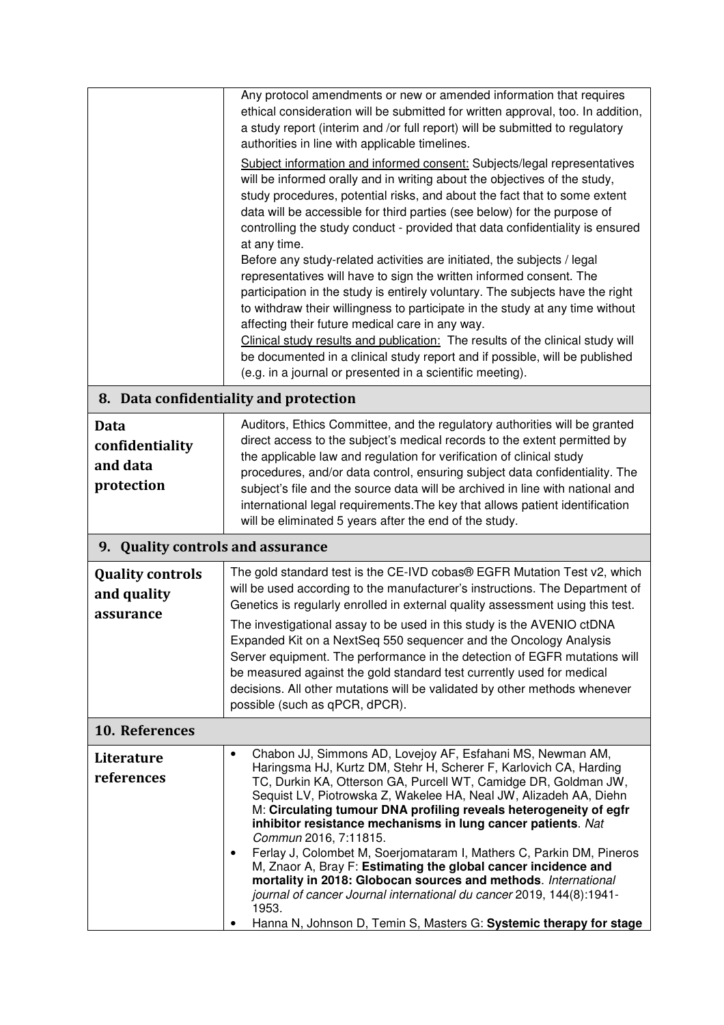|                                             | Any protocol amendments or new or amended information that requires                                                                                                                                                                                                                                                                                                                                                                                                                                                                                                                                                          |  |
|---------------------------------------------|------------------------------------------------------------------------------------------------------------------------------------------------------------------------------------------------------------------------------------------------------------------------------------------------------------------------------------------------------------------------------------------------------------------------------------------------------------------------------------------------------------------------------------------------------------------------------------------------------------------------------|--|
|                                             | ethical consideration will be submitted for written approval, too. In addition,                                                                                                                                                                                                                                                                                                                                                                                                                                                                                                                                              |  |
|                                             | a study report (interim and /or full report) will be submitted to regulatory<br>authorities in line with applicable timelines.                                                                                                                                                                                                                                                                                                                                                                                                                                                                                               |  |
|                                             | Subject information and informed consent: Subjects/legal representatives                                                                                                                                                                                                                                                                                                                                                                                                                                                                                                                                                     |  |
|                                             | will be informed orally and in writing about the objectives of the study,                                                                                                                                                                                                                                                                                                                                                                                                                                                                                                                                                    |  |
|                                             | study procedures, potential risks, and about the fact that to some extent<br>data will be accessible for third parties (see below) for the purpose of                                                                                                                                                                                                                                                                                                                                                                                                                                                                        |  |
|                                             | controlling the study conduct - provided that data confidentiality is ensured                                                                                                                                                                                                                                                                                                                                                                                                                                                                                                                                                |  |
|                                             | at any time.                                                                                                                                                                                                                                                                                                                                                                                                                                                                                                                                                                                                                 |  |
|                                             | Before any study-related activities are initiated, the subjects / legal<br>representatives will have to sign the written informed consent. The                                                                                                                                                                                                                                                                                                                                                                                                                                                                               |  |
|                                             | participation in the study is entirely voluntary. The subjects have the right                                                                                                                                                                                                                                                                                                                                                                                                                                                                                                                                                |  |
|                                             | to withdraw their willingness to participate in the study at any time without<br>affecting their future medical care in any way.                                                                                                                                                                                                                                                                                                                                                                                                                                                                                             |  |
|                                             | Clinical study results and publication: The results of the clinical study will                                                                                                                                                                                                                                                                                                                                                                                                                                                                                                                                               |  |
|                                             | be documented in a clinical study report and if possible, will be published                                                                                                                                                                                                                                                                                                                                                                                                                                                                                                                                                  |  |
|                                             | (e.g. in a journal or presented in a scientific meeting).                                                                                                                                                                                                                                                                                                                                                                                                                                                                                                                                                                    |  |
|                                             | 8. Data confidentiality and protection                                                                                                                                                                                                                                                                                                                                                                                                                                                                                                                                                                                       |  |
| <b>Data</b>                                 | Auditors, Ethics Committee, and the regulatory authorities will be granted                                                                                                                                                                                                                                                                                                                                                                                                                                                                                                                                                   |  |
| confidentiality                             | direct access to the subject's medical records to the extent permitted by<br>the applicable law and regulation for verification of clinical study                                                                                                                                                                                                                                                                                                                                                                                                                                                                            |  |
| and data                                    | procedures, and/or data control, ensuring subject data confidentiality. The                                                                                                                                                                                                                                                                                                                                                                                                                                                                                                                                                  |  |
| protection                                  | subject's file and the source data will be archived in line with national and                                                                                                                                                                                                                                                                                                                                                                                                                                                                                                                                                |  |
|                                             | international legal requirements. The key that allows patient identification<br>will be eliminated 5 years after the end of the study.                                                                                                                                                                                                                                                                                                                                                                                                                                                                                       |  |
| <b>Quality controls and assurance</b><br>9. |                                                                                                                                                                                                                                                                                                                                                                                                                                                                                                                                                                                                                              |  |
| <b>Quality controls</b>                     | The gold standard test is the CE-IVD cobas® EGFR Mutation Test v2, which                                                                                                                                                                                                                                                                                                                                                                                                                                                                                                                                                     |  |
| and quality                                 | will be used according to the manufacturer's instructions. The Department of                                                                                                                                                                                                                                                                                                                                                                                                                                                                                                                                                 |  |
| assurance                                   |                                                                                                                                                                                                                                                                                                                                                                                                                                                                                                                                                                                                                              |  |
|                                             | Expanded Kit on a NextSeq 550 sequencer and the Oncology Analysis                                                                                                                                                                                                                                                                                                                                                                                                                                                                                                                                                            |  |
|                                             | Server equipment. The performance in the detection of EGFR mutations will                                                                                                                                                                                                                                                                                                                                                                                                                                                                                                                                                    |  |
|                                             |                                                                                                                                                                                                                                                                                                                                                                                                                                                                                                                                                                                                                              |  |
|                                             | possible (such as qPCR, dPCR).                                                                                                                                                                                                                                                                                                                                                                                                                                                                                                                                                                                               |  |
| 10. References                              |                                                                                                                                                                                                                                                                                                                                                                                                                                                                                                                                                                                                                              |  |
| Literature                                  | Chabon JJ, Simmons AD, Lovejoy AF, Esfahani MS, Newman AM,<br>$\bullet$                                                                                                                                                                                                                                                                                                                                                                                                                                                                                                                                                      |  |
| references                                  | TC, Durkin KA, Otterson GA, Purcell WT, Camidge DR, Goldman JW,                                                                                                                                                                                                                                                                                                                                                                                                                                                                                                                                                              |  |
|                                             | Sequist LV, Piotrowska Z, Wakelee HA, Neal JW, Alizadeh AA, Diehn                                                                                                                                                                                                                                                                                                                                                                                                                                                                                                                                                            |  |
|                                             | inhibitor resistance mechanisms in lung cancer patients. Nat                                                                                                                                                                                                                                                                                                                                                                                                                                                                                                                                                                 |  |
|                                             | ٠                                                                                                                                                                                                                                                                                                                                                                                                                                                                                                                                                                                                                            |  |
|                                             | M, Znaor A, Bray F: Estimating the global cancer incidence and                                                                                                                                                                                                                                                                                                                                                                                                                                                                                                                                                               |  |
|                                             | journal of cancer Journal international du cancer 2019, 144(8):1941-                                                                                                                                                                                                                                                                                                                                                                                                                                                                                                                                                         |  |
|                                             | 1953.                                                                                                                                                                                                                                                                                                                                                                                                                                                                                                                                                                                                                        |  |
|                                             | Genetics is regularly enrolled in external quality assessment using this test.<br>The investigational assay to be used in this study is the AVENIO ctDNA<br>be measured against the gold standard test currently used for medical<br>decisions. All other mutations will be validated by other methods whenever<br>Haringsma HJ, Kurtz DM, Stehr H, Scherer F, Karlovich CA, Harding<br>M: Circulating tumour DNA profiling reveals heterogeneity of egfr<br>Commun 2016, 7:11815.<br>Ferlay J, Colombet M, Soerjomataram I, Mathers C, Parkin DM, Pineros<br>mortality in 2018: Globocan sources and methods. International |  |